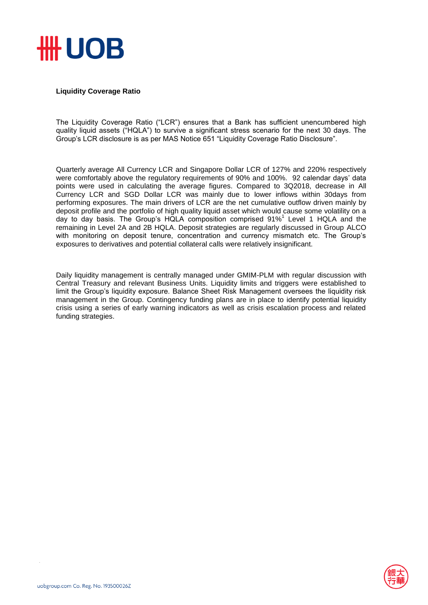

## **Liquidity Coverage Ratio**

The Liquidity Coverage Ratio ("LCR") ensures that a Bank has sufficient unencumbered high quality liquid assets ("HQLA") to survive a significant stress scenario for the next 30 days. The Group's LCR disclosure is as per MAS Notice 651 "Liquidity Coverage Ratio Disclosure".

Quarterly average All Currency LCR and Singapore Dollar LCR of 127% and 220% respectively were comfortably above the regulatory requirements of 90% and 100%. 92 calendar days' data points were used in calculating the average figures. Compared to 3Q2018, decrease in All Currency LCR and SGD Dollar LCR was mainly due to lower inflows within 30days from performing exposures. The main drivers of LCR are the net cumulative outflow driven mainly by deposit profile and the portfolio of high quality liquid asset which would cause some volatility on a day to day basis. The Group's HQLA composition comprised 91%<sup>1</sup> Level 1 HQLA and the remaining in Level 2A and 2B HQLA. Deposit strategies are regularly discussed in Group ALCO with monitoring on deposit tenure, concentration and currency mismatch etc. The Group's exposures to derivatives and potential collateral calls were relatively insignificant.

Daily liquidity management is centrally managed under GMIM-PLM with regular discussion with Central Treasury and relevant Business Units. Liquidity limits and triggers were established to limit the Group's liquidity exposure. Balance Sheet Risk Management oversees the liquidity risk management in the Group. Contingency funding plans are in place to identify potential liquidity crisis using a series of early warning indicators as well as crisis escalation process and related funding strategies.

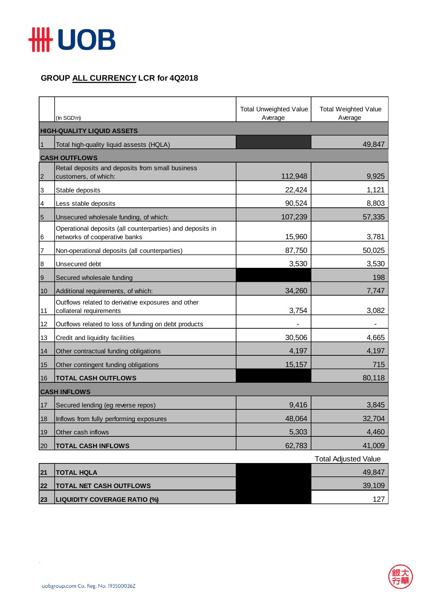

## **GROUP ALL CURRENCY LCR for 4Q2018**

|                 | (In SGD'm)                                                                                 | <b>Total Unweighted Value</b><br>Average | <b>Total Weighted Value</b><br>Average |  |  |
|-----------------|--------------------------------------------------------------------------------------------|------------------------------------------|----------------------------------------|--|--|
|                 | <b>HIGH-QUALITY LIQUID ASSETS</b>                                                          |                                          |                                        |  |  |
| $\vert$ 1       | Total high-quality liquid assests (HQLA)                                                   |                                          | 49,847                                 |  |  |
|                 | <b>CASH OUTFLOWS</b>                                                                       |                                          |                                        |  |  |
| $\overline{2}$  | Retail deposits and deposits from small business<br>customers, of which:                   | 112,948                                  | 9,925                                  |  |  |
| 3               | Stable deposits                                                                            | 22,424                                   | 1,121                                  |  |  |
| 4               | Less stable deposits                                                                       | 90,524                                   | 8,803                                  |  |  |
| $5\overline{5}$ | Unsecured wholesale funding, of which:                                                     | 107,239                                  | 57,335                                 |  |  |
| 6               | Operational deposits (all counterparties) and deposits in<br>networks of cooperative banks | 15,960                                   | 3,781                                  |  |  |
| 7               | Non-operational deposits (all counterparties)                                              | 87,750                                   | 50,025                                 |  |  |
| 8               | Unsecured debt                                                                             | 3,530                                    | 3,530                                  |  |  |
| $\overline{9}$  | Secured wholesale funding                                                                  |                                          | 198                                    |  |  |
| 10              | Additional requirements, of which:                                                         | 34,260                                   | 7,747                                  |  |  |
| 11              | Outflows related to derivative exposures and other<br>collateral requirements              | 3,754                                    | 3,082                                  |  |  |
| 12              | Outflows related to loss of funding on debt products                                       |                                          |                                        |  |  |
| 13              | Credit and liquidity facilities                                                            | 30,506                                   | 4,665                                  |  |  |
| 14              | Other contractual funding obligations                                                      | 4,197                                    | 4,197                                  |  |  |
| 15              | Other contingent funding obligations                                                       | 15,157                                   | 715                                    |  |  |
| 16              | <b>TOTAL CASH OUTFLOWS</b>                                                                 |                                          | 80,118                                 |  |  |
|                 | <b>CASH INFLOWS</b>                                                                        |                                          |                                        |  |  |
| 17              | Secured lending (eg reverse repos)                                                         | 9,416                                    | 3,845                                  |  |  |
| 18              | Inflows from fully performing exposures                                                    | 48,064                                   | 32,704                                 |  |  |
| 19              | Other cash inflows                                                                         | 5,303                                    | 4,460                                  |  |  |
| 20              | <b>TOTAL CASH INFLOWS</b>                                                                  | 62,783                                   | 41,009                                 |  |  |

|    |                                     | <b>Total Adjusted Value</b> |
|----|-------------------------------------|-----------------------------|
| 21 | <b>ITOTAL HQLA</b>                  | 49.847                      |
| 22 | <b>TOTAL NET CASH OUTFLOWS</b>      | 39,109                      |
| 23 | <b>LIQUIDITY COVERAGE RATIO (%)</b> | 127                         |